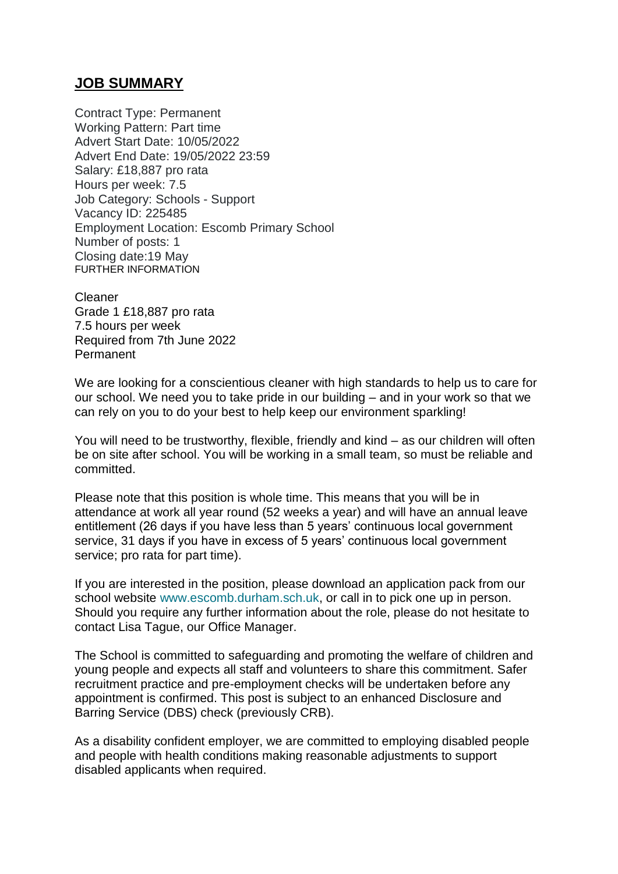## **JOB SUMMARY**

Contract Type: Permanent Working Pattern: Part time Advert Start Date: 10/05/2022 Advert End Date: 19/05/2022 23:59 Salary: £18,887 pro rata Hours per week: 7.5 Job Category: Schools - Support Vacancy ID: 225485 Employment Location: Escomb Primary School Number of posts: 1 Closing date:19 May FURTHER INFORMATION

Cleaner Grade 1 £18,887 pro rata 7.5 hours per week Required from 7th June 2022 Permanent

We are looking for a conscientious cleaner with high standards to help us to care for our school. We need you to take pride in our building – and in your work so that we can rely on you to do your best to help keep our environment sparkling!

You will need to be trustworthy, flexible, friendly and kind – as our children will often be on site after school. You will be working in a small team, so must be reliable and committed.

Please note that this position is whole time. This means that you will be in attendance at work all year round (52 weeks a year) and will have an annual leave entitlement (26 days if you have less than 5 years' continuous local government service, 31 days if you have in excess of 5 years' continuous local government service; pro rata for part time).

If you are interested in the position, please download an application pack from our school website [www.escomb.durham.sch.uk,](http://www.escomb.durham.sch.uk/) or call in to pick one up in person. Should you require any further information about the role, please do not hesitate to contact Lisa Tague, our Office Manager.

The School is committed to safeguarding and promoting the welfare of children and young people and expects all staff and volunteers to share this commitment. Safer recruitment practice and pre-employment checks will be undertaken before any appointment is confirmed. This post is subject to an enhanced Disclosure and Barring Service (DBS) check (previously CRB).

As a disability confident employer, we are committed to employing disabled people and people with health conditions making reasonable adjustments to support disabled applicants when required.